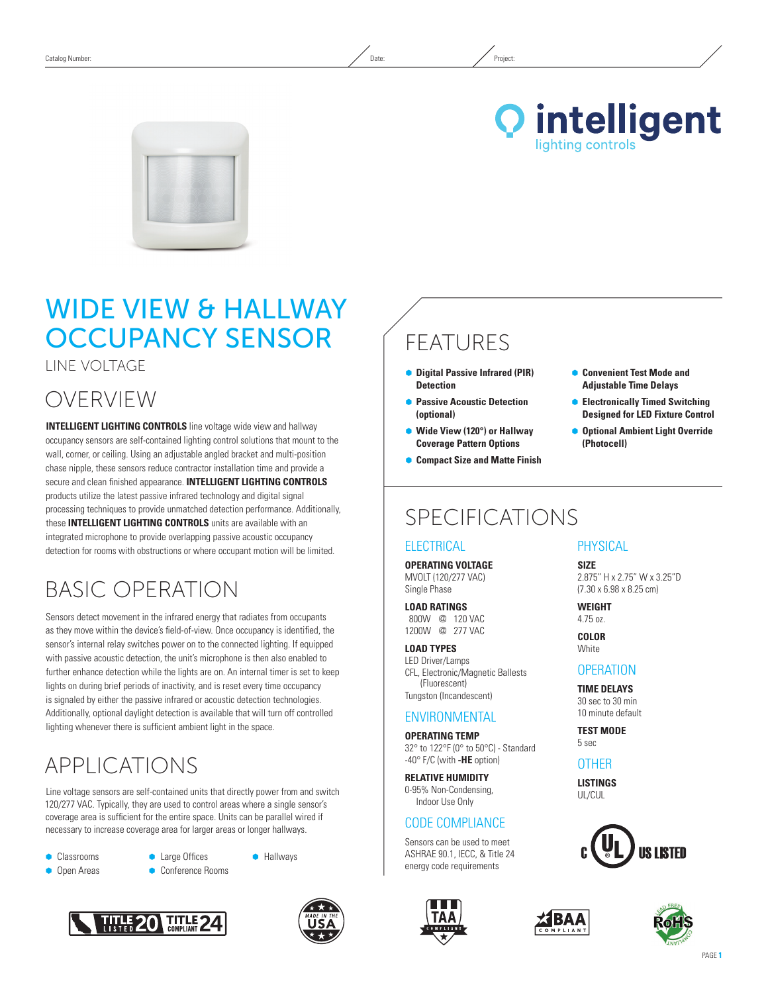



# WIDE VIEW & HALLWAY Occupancy Sensor

Line Voltage

### OVERVIEW

**INTELLIGENT LIGHTING CONTROLS** line voltage wide view and hallway occupancy sensors are self-contained lighting control solutions that mount to the wall, corner, or ceiling. Using an adjustable angled bracket and multi-position chase nipple, these sensors reduce contractor installation time and provide a secure and clean finished appearance. **INTELLIGENT LIGHTING CONTROLS** products utilize the latest passive infrared technology and digital signal processing techniques to provide unmatched detection performance. Additionally, these **INTELLIGENT LIGHTING CONTROLS** units are available with an integrated microphone to provide overlapping passive acoustic occupancy detection for rooms with obstructions or where occupant motion will be limited.

## Basic Operation

Sensors detect movement in the infrared energy that radiates from occupants as they move within the device's field-of-view. Once occupancy is identified, the sensor's internal relay switches power on to the connected lighting. If equipped with passive acoustic detection, the unit's microphone is then also enabled to further enhance detection while the lights are on. An internal timer is set to keep lights on during brief periods of inactivity, and is reset every time occupancy is signaled by either the passive infrared or acoustic detection technologies. Additionally, optional daylight detection is available that will turn off controlled lighting whenever there is sufficient ambient light in the space.

### APPLICATIONS

Line voltage sensors are self-contained units that directly power from and switch 120/277 VAC. Typically, they are used to control areas where a single sensor's coverage area is sufficient for the entire space. Units can be parallel wired if necessary to increase coverage area for larger areas or longer hallways.

- **Classrooms**
- **Open Areas**
- **C** Large Offices
- Conference Rooms





**•** Hallways

## FEATURES

- Ã **Digital Passive Infrared (PIR) Detection**
- **Passive Acoustic Detection (optional)**
- Ã **Wide View (120°) or Hallway Coverage Pattern Options**
- Ã **Compact Size and Matte Finish**

# SPECIFICATIONS

#### **ELECTRICAL**

**Operating Voltage** MVOLT (120/277 VAC) Single Phase

**Load Ratings** 800W @ 120 VAC 1200W @ 277 VAC

**Load Types** LED Driver/Lamps CFL, Electronic/Magnetic Ballests (Fluorescent) Tungston (Incandescent)

#### **ENVIRONMENTAL**

**Operating Temp** 32° to 122°F (0° to 50°C) - Standard -40° F/C (with **-HE** option)

**Relative Humidity** 0-95% Non-Condensing, Indoor Use Only

#### CODE COMPLIANCE

Sensors can be used to meet ASHRAE 90.1, IECC, & Title 24 energy code requirements



#### **Convenient Test Mode and Adjustable Time Delays**

- Ã **Electronically Timed Switching Designed for LED Fixture Control**
- $\bullet$  **Optional Ambient Light Override (Photocell)**

#### **PHYSICAL**

**Size** 2.875" H x 2.75" W x 3.25"D (7.30 x 6.98 x 8.25 cm)

**Weight** 4.75 oz. **Color**

**White** 

#### **OPERATION**

**TIME DELAYS** 30 sec to 30 min 10 minute default

**TEST MODE** 5 sec

#### **OTHER**

**Listings** UL/CUL



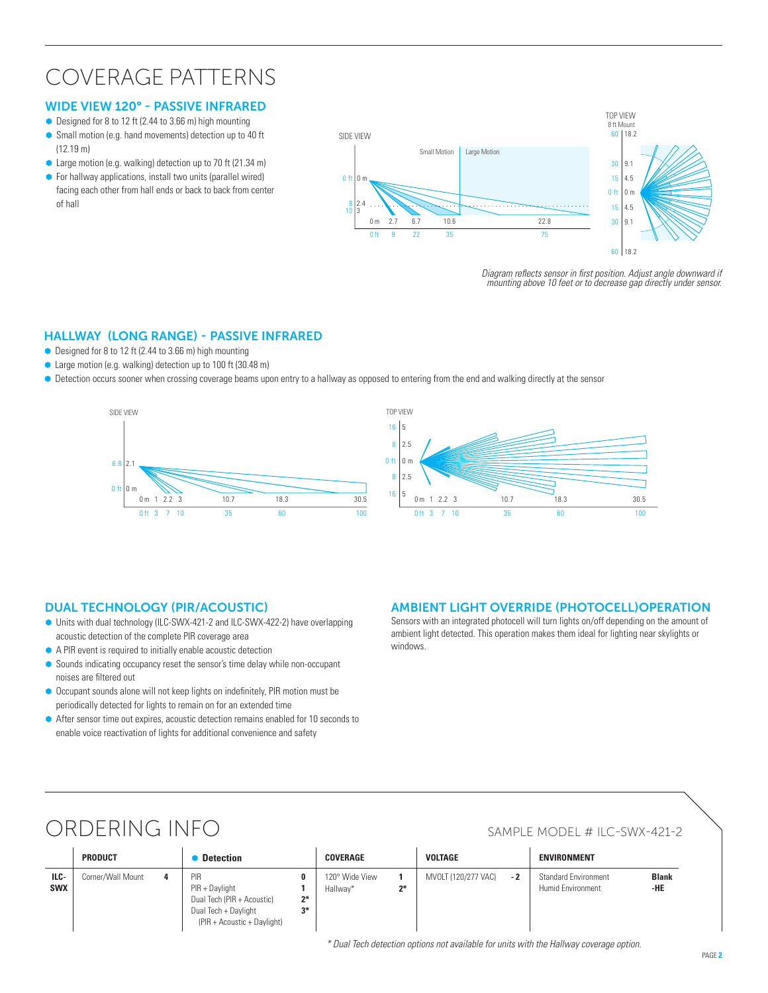### Coverage Patterns

#### Wide View 120° - PASSIVE INFRARED

- $\bullet$  Designed for 8 to 12 ft (2.44 to 3.66 m) high mounting
- Small motion (e.g. hand movements) detection up to 40 ft (12.19 m)
- Large motion (e.g. walking) detection up to 70 ft (21.34 m)
- For hallway applications, install two units (parallel wired) facing each other from hall ends or back to back from center of hall



*Diagram reflects sensor in first position. Adjust angle downward if mounting above 10 feet or to decrease gap directly under sensor.*

#### Hallway (LonG RANGE) - PASSIVE INFRARED

- $\bullet$  Designed for 8 to 12 ft (2.44 to 3.66 m) high mounting
- Large motion (e.g. walking) detection up to 100 ft (30.48 m)
- $\bullet$  Detection occurs sooner when crossing coverage beams upon entry to a hallway as opposed to entering from the end and walking directly at the sensor





#### Dual Technology (PIR/Acoustic)

- Ã Units with dual technology (ILC-SWX-421-2 and ILC-SWX-422-2) have overlapping acoustic detection of the complete PIR coverage area
- A PIR event is required to initially enable acoustic detection
- Ã Sounds indicating occupancy reset the sensor's time delay while non-occupant noises are filtered out
- Occupant sounds alone will not keep lights on indefinitely, PIR motion must be periodically detected for lights to remain on for an extended time
- After sensor time out expires, acoustic detection remains enabled for 10 seconds to enable voice reactivation of lights for additional convenience and safety

#### AMBIENT LIGHT OVERRIDE (PHOTOCELL)OPERATION

Sensors with an integrated photocell will turn lights on/off depending on the amount of ambient light detected. This operation makes them ideal for lighting near skylights or windows.

### ORDERING INFO SAMPLE MODEL # ILC-SWX-421-2

**ILC-SWX**

#### **Product** Ã **Detection Coverage Voltage ENVIRONMENT** Corner/Wall Mount **4** PIR PIR + Daylight Dual Tech (PIR + Acoustic) Dual Tech + Daylight (PIR + Acoustic + Daylight) **0 1 2\* 3\***  120° Wide View Hallway\* **1 2\*** MVOLT (120/277 VAC) - 2 Standard Environment Humid Environment **Blank -HE**

*\* Dual Tech detection options not available for units with the Hallway coverage option.*